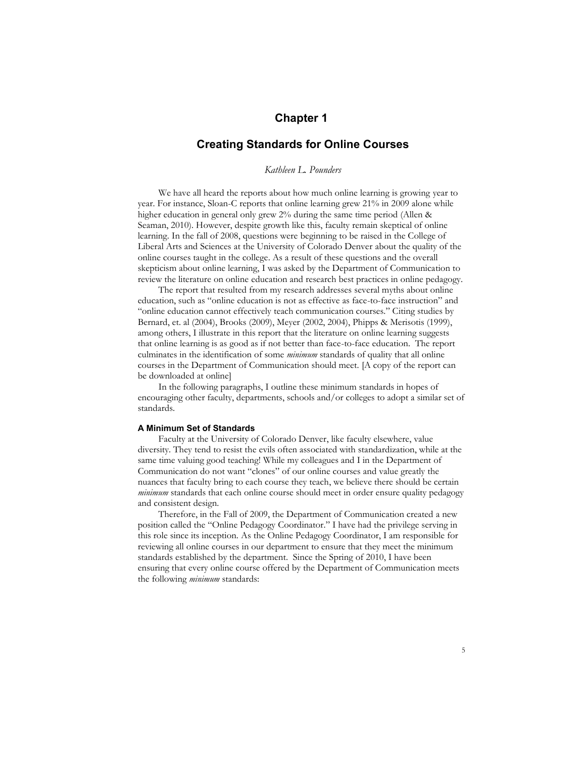# **Chapter 1**

## **Creating Standards for Online Courses**

## *Kathleen L. Pounders*

We have all heard the reports about how much online learning is growing year to year. For instance, Sloan-C reports that online learning grew 21% in 2009 alone while higher education in general only grew 2% during the same time period (Allen & Seaman, 2010). However, despite growth like this, faculty remain skeptical of online learning. In the fall of 2008, questions were beginning to be raised in the College of Liberal Arts and Sciences at the University of Colorado Denver about the quality of the online courses taught in the college. As a result of these questions and the overall skepticism about online learning, I was asked by the Department of Communication to review the literature on online education and research best practices in online pedagogy.

The report that resulted from my research addresses several myths about online education, such as "online education is not as effective as face-to-face instruction" and "online education cannot effectively teach communication courses." Citing studies by Bernard, et. al (2004), Brooks (2009), Meyer (2002, 2004), Phipps & Merisotis (1999), among others, I illustrate in this report that the literature on online learning suggests that online learning is as good as if not better than face-to-face education. The report culminates in the identification of some *minimum* standards of quality that all online courses in the Department of Communication should meet. [A copy of the report can be downloaded at online]

In the following paragraphs, I outline these minimum standards in hopes of encouraging other faculty, departments, schools and/or colleges to adopt a similar set of standards.

#### **A Minimum Set of Standards**

Faculty at the University of Colorado Denver, like faculty elsewhere, value diversity. They tend to resist the evils often associated with standardization, while at the same time valuing good teaching! While my colleagues and I in the Department of Communication do not want "clones" of our online courses and value greatly the nuances that faculty bring to each course they teach, we believe there should be certain *minimum* standards that each online course should meet in order ensure quality pedagogy and consistent design.

Therefore, in the Fall of 2009, the Department of Communication created a new position called the "Online Pedagogy Coordinator." I have had the privilege serving in this role since its inception. As the Online Pedagogy Coordinator, I am responsible for reviewing all online courses in our department to ensure that they meet the minimum standards established by the department. Since the Spring of 2010, I have been ensuring that every online course offered by the Department of Communication meets the following *minimum* standards: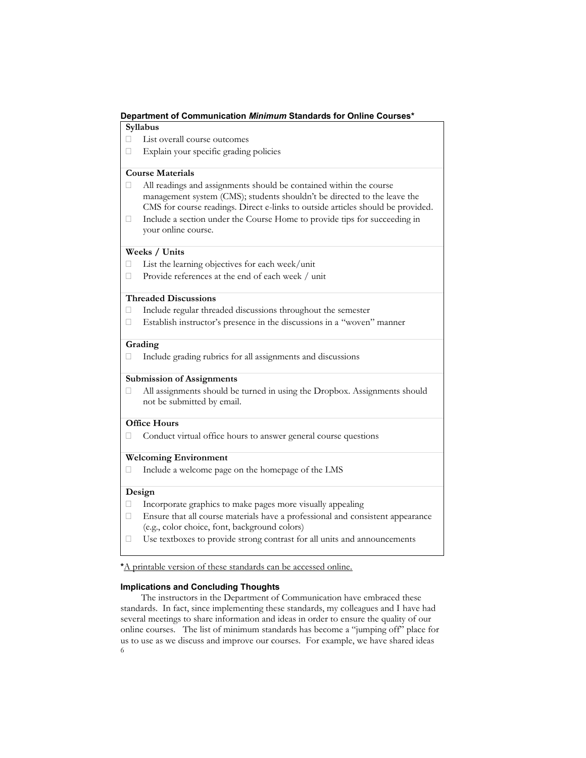## **Department of Communication** *Minimum* **Standards for Online Courses\***

## **Syllabus**

- List overall course outcomes
- Explain your specific grading policies

## **Course Materials**

- All readings and assignments should be contained within the course management system (CMS); students shouldn't be directed to the leave the CMS for course readings. Direct e-links to outside articles should be provided.
- $\Box$  Include a section under the Course Home to provide tips for succeeding in your online course.

## **Weeks / Units**

- $\Box$  List the learning objectives for each week/unit
- Provide references at the end of each week / unit

### **Threaded Discussions**

- $\Box$  Include regular threaded discussions throughout the semester
- $\Box$  Establish instructor's presence in the discussions in a "woven" manner

#### **Grading**

 $\Box$  Include grading rubrics for all assignments and discussions

### **Submission of Assignments**

 $\Box$  All assignments should be turned in using the Dropbox. Assignments should not be submitted by email.

#### **Office Hours**

Conduct virtual office hours to answer general course questions

## **Welcoming Environment**

 $\Box$  Include a welcome page on the homepage of the LMS

## **Design**

- $\Box$  Incorporate graphics to make pages more visually appealing
- $\Box$  Ensure that all course materials have a professional and consistent appearance (e.g., color choice, font, background colors)
- Use textboxes to provide strong contrast for all units and announcements

**\***A printable version of these standards can be accessed online.

#### **Implications and Concluding Thoughts**

6 The instructors in the Department of Communication have embraced these standards. In fact, since implementing these standards, my colleagues and I have had several meetings to share information and ideas in order to ensure the quality of our online courses. The list of minimum standards has become a "jumping off" place for us to use as we discuss and improve our courses. For example, we have shared ideas